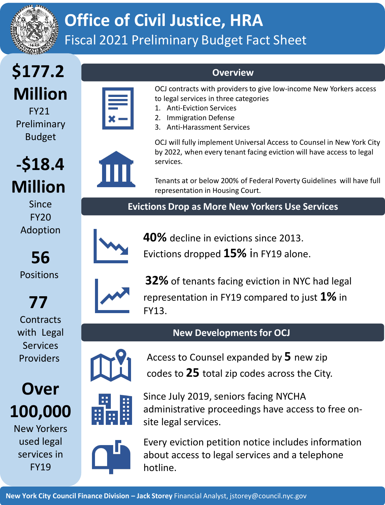

## **Office of Civil Justice, HRA** Fiscal 2021 Preliminary Budget Fact Sheet

## **\$177.2 Million**

FY21 Preliminary Budget

**-\$18.4** 

**Million**

Since FY20

Adoption

**56**

Positions

**77**

**Contracts** 

with Legal Services Providers

**Over**

**100,000**

New Yorkers

FY19



OCJ contracts with providers to give low-income New Yorkers access to legal services in three categories

- 1. Anti-Eviction Services
- 2. Immigration Defense
- 3. Anti-Harassment Services



OCJ will fully implement Universal Access to Counsel in New York City by 2022, when every tenant facing eviction will have access to legal services.

Tenants at or below 200% of Federal Poverty Guidelines will have full representation in Housing Court.

**Evictions Drop as More New Yorkers Use Services**

**Overview**



**40%** decline in evictions since 2013.

Evictions dropped **15%** in FY19 alone.



**32%** of tenants facing eviction in NYC had legal representation in FY19 compared to just **1%** in FY13.

## **New Developments for OCJ**

Since July 2019, seniors facing NYCHA



Access to Counsel expanded by **5** new zip codes to **25** total zip codes across the City.



site legal services. Every eviction petition notice includes information

administrative proceedings have access to free on-



hotline.